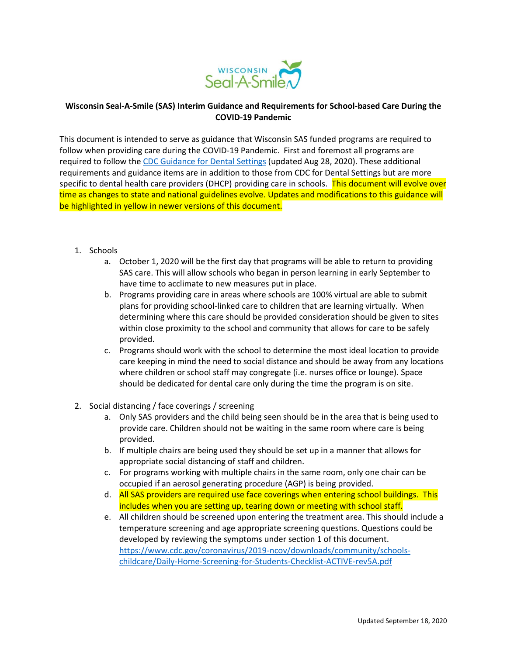

## **Wisconsin Seal-A-Smile (SAS) Interim Guidance and Requirements for School-based Care During the COVID-19 Pandemic**

This document is intended to serve as guidance that Wisconsin SAS funded programs are required to follow when providing care during the COVID-19 Pandemic. First and foremost all programs are required to follow th[e CDC Guidance for Dental Settings](https://www.cdc.gov/coronavirus/2019-ncov/hcp/dental-settings.html) (updated Aug 28, 2020). These additional requirements and guidance items are in addition to those from CDC for Dental Settings but are more specific to dental health care providers (DHCP) providing care in schools. This document will evolve over time as changes to state and national guidelines evolve. Updates and modifications to this guidance will be highlighted in yellow in newer versions of this document.

- 1. Schools
	- a. October 1, 2020 will be the first day that programs will be able to return to providing SAS care. This will allow schools who began in person learning in early September to have time to acclimate to new measures put in place.
	- b. Programs providing care in areas where schools are 100% virtual are able to submit plans for providing school-linked care to children that are learning virtually. When determining where this care should be provided consideration should be given to sites within close proximity to the school and community that allows for care to be safely provided.
	- c. Programs should work with the school to determine the most ideal location to provide care keeping in mind the need to social distance and should be away from any locations where children or school staff may congregate (i.e. nurses office or lounge). Space should be dedicated for dental care only during the time the program is on site.
- 2. Social distancing / face coverings / screening
	- a. Only SAS providers and the child being seen should be in the area that is being used to provide care. Children should not be waiting in the same room where care is being provided.
	- b. If multiple chairs are being used they should be set up in a manner that allows for appropriate social distancing of staff and children.
	- c. For programs working with multiple chairs in the same room, only one chair can be occupied if an aerosol generating procedure (AGP) is being provided.
	- d. All SAS providers are required use face coverings when entering school buildings. This includes when you are setting up, tearing down or meeting with school staff.
	- e. All children should be screened upon entering the treatment area. This should include a temperature screening and age appropriate screening questions. Questions could be developed by reviewing the symptoms under section 1 of this document. [https://www.cdc.gov/coronavirus/2019-ncov/downloads/community/schools](https://www.cdc.gov/coronavirus/2019-ncov/downloads/community/schools-childcare/Daily-Home-Screening-for-Students-Checklist-ACTIVE-rev5A.pdf)[childcare/Daily-Home-Screening-for-Students-Checklist-ACTIVE-rev5A.pdf](https://www.cdc.gov/coronavirus/2019-ncov/downloads/community/schools-childcare/Daily-Home-Screening-for-Students-Checklist-ACTIVE-rev5A.pdf)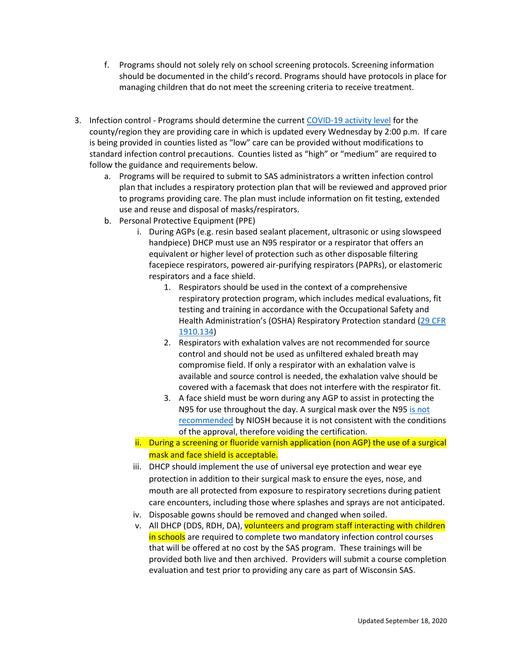- f. Programs should not solely rely on school screening protocols. Screening information should be documented in the child's record. Programs should have protocols in place for managing children that do not meet the screening criteria to receive treatment.
- 3. Infection control Programs should determine the curren[t COVID-19 activity level](https://www.dhs.wisconsin.gov/covid-19/local.htm) for the county/region they are providing care in which is updated every Wednesday by 2:00 p.m. If care is being provided in counties listed as "low" care can be provided without modifications to standard infection control precautions. Counties listed as "high" or "medium" are required to follow the guidance and requirements below.
	- a. Programs will be required to submit to SAS administrators a written infection control plan that includes a respiratory protection plan that will be reviewed and approved prior to programs providing care. The plan must include information on fit testing, extended use and reuse and disposal of masks/respirators.
	- b. Personal Protective Equipment (PPE)
		- i. During AGPs (e.g. resin based sealant placement, ultrasonic or using slowspeed handpiece) DHCP must use an N95 respirator or a respirator that offers an equivalent or higher level of protection such as other disposable filtering facepiece respirators, powered air-purifying respirators (PAPRs), or elastomeric respirators and a face shield.
			- 1. Respirators should be used in the context of a comprehensive respiratory protection program, which includes medical evaluations, fit testing and training in accordance with the Occupational Safety and Health Administration's (OSHA) Respiratory Protection standard ([29 CFR](https://www.osha.gov/laws-regs/regulations/standardnumber/1910/1910.134)  [1910.134\)](https://www.osha.gov/laws-regs/regulations/standardnumber/1910/1910.134)
			- 2. Respirators with exhalation valves are not recommended for source control and should not be used as unfiltered exhaled breath may compromise field. If only a respirator with an exhalation valve is available and source control is needed, the exhalation valve should be covered with a facemask that does not interfere with the respirator fit.
			- 3. A face shield must be worn during any AGP to assist in protecting the N95 for use throughout the day. A surgical mask over the N95 is not [recommended](https://blogs.cdc.gov/niosh-science-blog/2020/06/16/covering-n95s/#:~:text=Wearing%20a%20surgical%20mask%20or,approval%2C%20therefore%20voiding%20the%20certification.) by NIOSH because it is not consistent with the conditions of the approval, therefore voiding the certification.
		- ii. During a screening or fluoride varnish application (non AGP) the use of a surgical mask and face shield is acceptable.
		- iii. DHCP should implement the use of universal eye protection and wear eye protection in addition to their surgical mask to ensure the eyes, nose, and mouth are all protected from exposure to respiratory secretions during patient care encounters, including those where splashes and sprays are not anticipated.
		- iv. Disposable gowns should be removed and changed when soiled.
		- v. All DHCP (DDS, RDH, DA), volunteers and program staff interacting with children in schools are required to complete two mandatory infection control courses that will be offered at no cost by the SAS program. These trainings will be provided both live and then archived. Providers will submit a course completion evaluation and test prior to providing any care as part of Wisconsin SAS.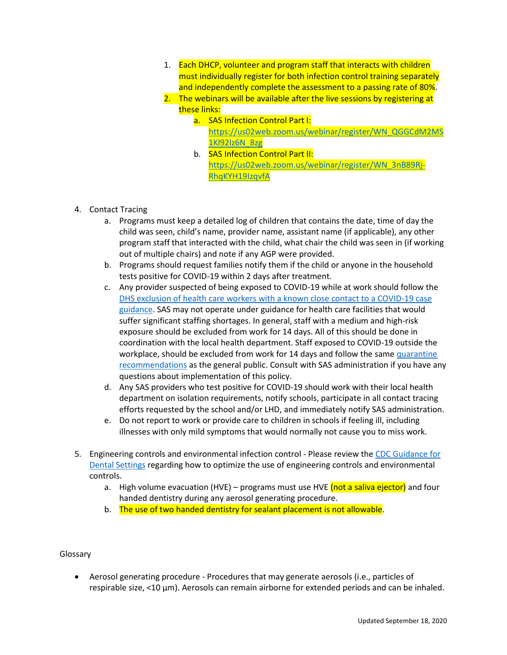- 1. Each DHCP, volunteer and program staff that interacts with children must individually register for both infection control training separately and independently complete the assessment to a passing rate of 80%.
- 2. The webinars will be available after the live sessions by registering at these links:
	- a. SAS Infection Control Part I: [https://us02web.zoom.us/webinar/register/WN\\_QGGCdM2MS](https://us02web.zoom.us/webinar/register/WN_QGGCdM2MS1Kl92lz6N_8zg) [1Kl92lz6N\\_8zg](https://us02web.zoom.us/webinar/register/WN_QGGCdM2MS1Kl92lz6N_8zg)
	- b. SAS Infection Control Part II: [https://us02web.zoom.us/webinar/register/WN\\_3nB89Rj-](https://us02web.zoom.us/webinar/register/WN_3nB89Rj-RhqKYH19IzqvfA)[RhqKYH19IzqvfA](https://us02web.zoom.us/webinar/register/WN_3nB89Rj-RhqKYH19IzqvfA)
- 4. Contact Tracing
	- a. Programs must keep a detailed log of children that contains the date, time of day the child was seen, child's name, provider name, assistant name (if applicable), any other program staff that interacted with the child, what chair the child was seen in (if working out of multiple chairs) and note if any AGP were provided.
	- b. Programs should request families notify them if the child or anyone in the household tests positive for COVID-19 within 2 days after treatment.
	- c. Any provider suspected of being exposed to COVID-19 while at work should follow the [DHS exclusion of health care workers with a known close contact to a COVID-19 case](https://www.dhs.wisconsin.gov/covid-19/providers.htm)  [guidance.](https://www.dhs.wisconsin.gov/covid-19/providers.htm) SAS may not operate under guidance for health care facilities that would suffer significant staffing shortages. In general, staff with a medium and high-risk exposure should be excluded from work for 14 days. All of this should be done in coordination with the local health department. Staff exposed to COVID-19 outside the workplace, should be excluded from work for 14 days and follow the same [quarantine](https://www.dhs.wisconsin.gov/publications/p02627.pdf)  [recommendations](https://www.dhs.wisconsin.gov/publications/p02627.pdf) as the general public. Consult with SAS administration if you have any questions about implementation of this policy.
	- d. Any SAS providers who test positive for COVID-19 should work with their local health department on isolation requirements, notify schools, participate in all contact tracing efforts requested by the school and/or LHD, and immediately notify SAS administration.
	- e. Do not report to work or provide care to children in schools if feeling ill, including illnesses with only mild symptoms that would normally not cause you to miss work.
- 5. Engineering controls and environmental infection control Please review th[e CDC Guidance for](https://www.cdc.gov/coronavirus/2019-ncov/hcp/dental-settings.html)  [Dental Settings](https://www.cdc.gov/coronavirus/2019-ncov/hcp/dental-settings.html) regarding how to optimize the use of engineering controls and environmental controls.
	- a. High volume evacuation (HVE) programs must use HVE (not a saliva ejector) and four handed dentistry during any aerosol generating procedure.
	- b. The use of two handed dentistry for sealant placement is not allowable.

## Glossary

 Aerosol generating procedure - Procedures that may generate aerosols (i.e., particles of respirable size, <10 μm). Aerosols can remain airborne for extended periods and can be inhaled.